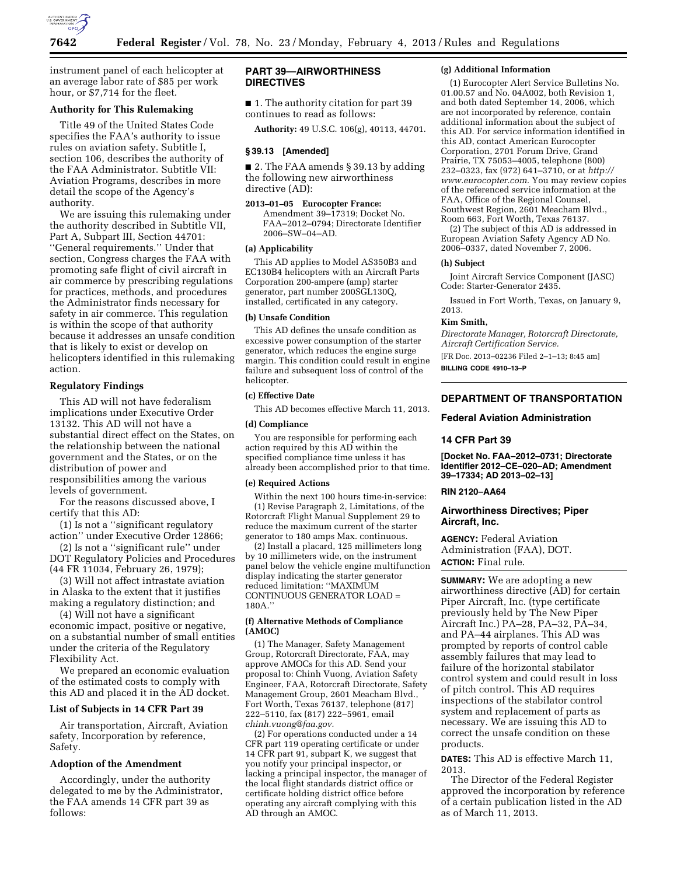

instrument panel of each helicopter at an average labor rate of \$85 per work hour, or \$7,714 for the fleet.

# **Authority for This Rulemaking**

Title 49 of the United States Code specifies the FAA's authority to issue rules on aviation safety. Subtitle I, section 106, describes the authority of the FAA Administrator. Subtitle VII: Aviation Programs, describes in more detail the scope of the Agency's authority.

We are issuing this rulemaking under the authority described in Subtitle VII, Part A, Subpart III, Section 44701: ''General requirements.'' Under that section, Congress charges the FAA with promoting safe flight of civil aircraft in air commerce by prescribing regulations for practices, methods, and procedures the Administrator finds necessary for safety in air commerce. This regulation is within the scope of that authority because it addresses an unsafe condition that is likely to exist or develop on helicopters identified in this rulemaking action.

### **Regulatory Findings**

This AD will not have federalism implications under Executive Order 13132. This AD will not have a substantial direct effect on the States, on the relationship between the national government and the States, or on the distribution of power and responsibilities among the various levels of government.

For the reasons discussed above, I certify that this AD:

(1) Is not a ''significant regulatory action'' under Executive Order 12866;

(2) Is not a ''significant rule'' under DOT Regulatory Policies and Procedures (44 FR 11034, February 26, 1979);

(3) Will not affect intrastate aviation in Alaska to the extent that it justifies making a regulatory distinction; and

(4) Will not have a significant economic impact, positive or negative, on a substantial number of small entities under the criteria of the Regulatory Flexibility Act.

We prepared an economic evaluation of the estimated costs to comply with this AD and placed it in the AD docket.

## **List of Subjects in 14 CFR Part 39**

Air transportation, Aircraft, Aviation safety, Incorporation by reference, Safety.

# **Adoption of the Amendment**

Accordingly, under the authority delegated to me by the Administrator, the FAA amends 14 CFR part 39 as follows:

# **PART 39—AIRWORTHINESS DIRECTIVES**

■ 1. The authority citation for part 39 continues to read as follows:

**Authority:** 49 U.S.C. 106(g), 40113, 44701.

# **§ 39.13 [Amended]**

■ 2. The FAA amends § 39.13 by adding the following new airworthiness directive (AD):

**2013–01–05 Eurocopter France:**  Amendment 39–17319; Docket No. FAA–2012–0794; Directorate Identifier 2006–SW–04–AD.

# **(a) Applicability**

This AD applies to Model AS350B3 and EC130B4 helicopters with an Aircraft Parts Corporation 200-ampere (amp) starter generator, part number 200SGL130Q, installed, certificated in any category.

### **(b) Unsafe Condition**

This AD defines the unsafe condition as excessive power consumption of the starter generator, which reduces the engine surge margin. This condition could result in engine failure and subsequent loss of control of the helicopter.

### **(c) Effective Date**

This AD becomes effective March 11, 2013.

### **(d) Compliance**

You are responsible for performing each action required by this AD within the specified compliance time unless it has already been accomplished prior to that time.

### **(e) Required Actions**

Within the next 100 hours time-in-service: (1) Revise Paragraph 2, Limitations, of the Rotorcraft Flight Manual Supplement 29 to reduce the maximum current of the starter generator to 180 amps Max. continuous.

(2) Install a placard, 125 millimeters long by 10 millimeters wide, on the instrument panel below the vehicle engine multifunction display indicating the starter generator reduced limitation: ''MAXIMUM CONTINUOUS GENERATOR LOAD = 180A.''

### **(f) Alternative Methods of Compliance (AMOC)**

(1) The Manager, Safety Management Group, Rotorcraft Directorate, FAA, may approve AMOCs for this AD. Send your proposal to: Chinh Vuong, Aviation Safety Engineer, FAA, Rotorcraft Directorate, Safety Management Group, 2601 Meacham Blvd., Fort Worth, Texas 76137, telephone (817) 222–5110, fax (817) 222–5961, email *[chinh.vuong@faa.gov.](mailto:chinh.vuong@faa.gov)* 

(2) For operations conducted under a 14 CFR part 119 operating certificate or under 14 CFR part 91, subpart K, we suggest that you notify your principal inspector, or lacking a principal inspector, the manager of the local flight standards district office or certificate holding district office before operating any aircraft complying with this AD through an AMOC.

### **(g) Additional Information**

(1) Eurocopter Alert Service Bulletins No. 01.00.57 and No. 04A002, both Revision 1, and both dated September 14, 2006, which are not incorporated by reference, contain additional information about the subject of this AD. For service information identified in this AD, contact American Eurocopter Corporation, 2701 Forum Drive, Grand Prairie, TX 75053–4005, telephone (800) 232–0323, fax (972) 641–3710, or at *[http://](http://www.eurocopter.com) [www.eurocopter.com.](http://www.eurocopter.com)* You may review copies of the referenced service information at the FAA, Office of the Regional Counsel, Southwest Region, 2601 Meacham Blvd., Room 663, Fort Worth, Texas 76137.

(2) The subject of this AD is addressed in European Aviation Safety Agency AD No. 2006–0337, dated November 7, 2006.

#### **(h) Subject**

Joint Aircraft Service Component (JASC) Code: Starter-Generator 2435.

Issued in Fort Worth, Texas, on January 9, 2013.

# **Kim Smith,**

*Directorate Manager, Rotorcraft Directorate, Aircraft Certification Service.* 

[FR Doc. 2013–02236 Filed 2–1–13; 8:45 am]

**BILLING CODE 4910–13–P** 

## **DEPARTMENT OF TRANSPORTATION**

#### **Federal Aviation Administration**

## **14 CFR Part 39**

**[Docket No. FAA–2012–0731; Directorate Identifier 2012–CE–020–AD; Amendment 39–17334; AD 2013–02–13]** 

#### **RIN 2120–AA64**

### **Airworthiness Directives; Piper Aircraft, Inc.**

**AGENCY:** Federal Aviation Administration (FAA), DOT. **ACTION:** Final rule.

**SUMMARY:** We are adopting a new airworthiness directive (AD) for certain Piper Aircraft, Inc. (type certificate previously held by The New Piper Aircraft Inc.) PA–28, PA–32, PA–34, and PA–44 airplanes. This AD was prompted by reports of control cable assembly failures that may lead to failure of the horizontal stabilator control system and could result in loss of pitch control. This AD requires inspections of the stabilator control system and replacement of parts as necessary. We are issuing this AD to correct the unsafe condition on these products.

**DATES:** This AD is effective March 11, 2013.

The Director of the Federal Register approved the incorporation by reference of a certain publication listed in the AD as of March 11, 2013.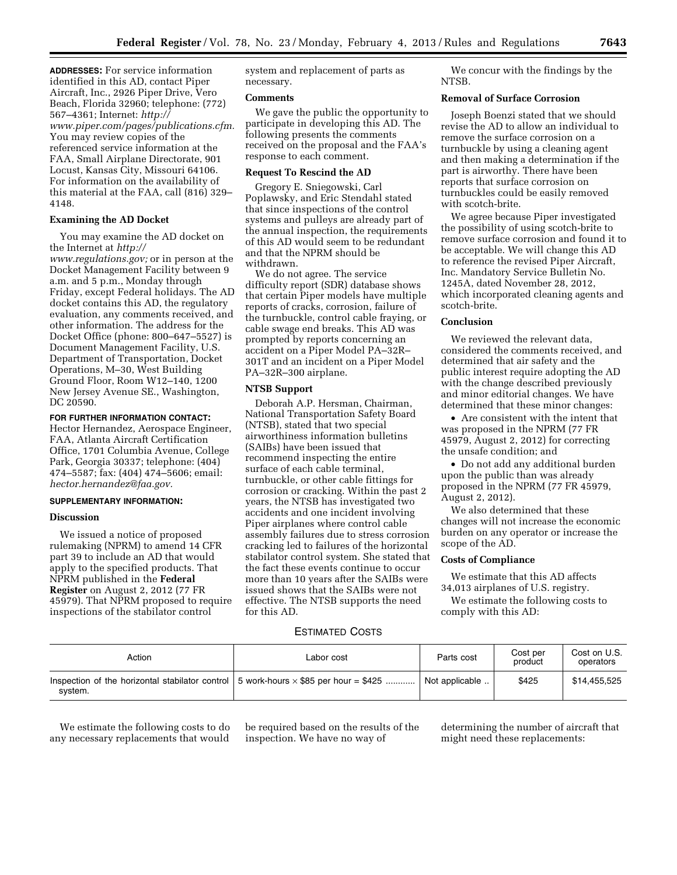**ADDRESSES:** For service information identified in this AD, contact Piper Aircraft, Inc., 2926 Piper Drive, Vero Beach, Florida 32960; telephone: (772) 567–4361; Internet: *[http://](http://www.piper.com/pages/publications.cfm)  [www.piper.com/pages/publications.cfm.](http://www.piper.com/pages/publications.cfm)*  You may review copies of the referenced service information at the FAA, Small Airplane Directorate, 901 Locust, Kansas City, Missouri 64106. For information on the availability of this material at the FAA, call (816) 329– 4148.

# **Examining the AD Docket**

You may examine the AD docket on the Internet at *[http://](http://www.regulations.gov)* 

*[www.regulations.gov;](http://www.regulations.gov)* or in person at the Docket Management Facility between 9 a.m. and 5 p.m., Monday through Friday, except Federal holidays. The AD docket contains this AD, the regulatory evaluation, any comments received, and other information. The address for the Docket Office (phone: 800–647–5527) is Document Management Facility, U.S. Department of Transportation, Docket Operations, M–30, West Building Ground Floor, Room W12–140, 1200 New Jersey Avenue SE., Washington, DC 20590.

# **FOR FURTHER INFORMATION CONTACT:**

Hector Hernandez, Aerospace Engineer, FAA, Atlanta Aircraft Certification Office, 1701 Columbia Avenue, College Park, Georgia 30337; telephone: (404) 474–5587; fax: (404) 474–5606; email: *[hector.hernandez@faa.gov.](mailto:hector.hernandez@faa.gov)* 

## **SUPPLEMENTARY INFORMATION:**

## **Discussion**

We issued a notice of proposed rulemaking (NPRM) to amend 14 CFR part 39 to include an AD that would apply to the specified products. That NPRM published in the **Federal Register** on August 2, 2012 (77 FR 45979). That NPRM proposed to require inspections of the stabilator control

system and replacement of parts as necessary.

### **Comments**

We gave the public the opportunity to participate in developing this AD. The following presents the comments received on the proposal and the FAA's response to each comment.

## **Request To Rescind the AD**

Gregory E. Sniegowski, Carl Poplawsky, and Eric Stendahl stated that since inspections of the control systems and pulleys are already part of the annual inspection, the requirements of this AD would seem to be redundant and that the NPRM should be withdrawn.

We do not agree. The service difficulty report (SDR) database shows that certain Piper models have multiple reports of cracks, corrosion, failure of the turnbuckle, control cable fraying, or cable swage end breaks. This AD was prompted by reports concerning an accident on a Piper Model PA–32R– 301T and an incident on a Piper Model PA–32R–300 airplane.

# **NTSB Support**

Deborah A.P. Hersman, Chairman, National Transportation Safety Board (NTSB), stated that two special airworthiness information bulletins (SAIBs) have been issued that recommend inspecting the entire surface of each cable terminal, turnbuckle, or other cable fittings for corrosion or cracking. Within the past 2 years, the NTSB has investigated two accidents and one incident involving Piper airplanes where control cable assembly failures due to stress corrosion cracking led to failures of the horizontal stabilator control system. She stated that the fact these events continue to occur more than 10 years after the SAIBs were issued shows that the SAIBs were not effective. The NTSB supports the need for this AD.

## ESTIMATED COSTS

| Action  | Labor cost                                                                                          | Parts cost     | Cost per<br>product | Cost on U.S.<br>operators |
|---------|-----------------------------------------------------------------------------------------------------|----------------|---------------------|---------------------------|
| svstem. | Inspection of the horizontal stabilator control $\vert$ 5 work-hours $\times$ \$85 per hour = \$425 | Not applicable | \$425               | \$14,455,525              |

We estimate the following costs to do any necessary replacements that would

be required based on the results of the inspection. We have no way of

We concur with the findings by the NTSB.

### **Removal of Surface Corrosion**

Joseph Boenzi stated that we should revise the AD to allow an individual to remove the surface corrosion on a turnbuckle by using a cleaning agent and then making a determination if the part is airworthy. There have been reports that surface corrosion on turnbuckles could be easily removed with scotch-brite.

We agree because Piper investigated the possibility of using scotch-brite to remove surface corrosion and found it to be acceptable. We will change this AD to reference the revised Piper Aircraft, Inc. Mandatory Service Bulletin No. 1245A, dated November 28, 2012, which incorporated cleaning agents and scotch-brite.

# **Conclusion**

We reviewed the relevant data, considered the comments received, and determined that air safety and the public interest require adopting the AD with the change described previously and minor editorial changes. We have determined that these minor changes:

• Are consistent with the intent that was proposed in the NPRM (77 FR 45979, August 2, 2012) for correcting the unsafe condition; and

• Do not add any additional burden upon the public than was already proposed in the NPRM (77 FR 45979, August 2, 2012).

We also determined that these changes will not increase the economic burden on any operator or increase the scope of the AD.

## **Costs of Compliance**

We estimate that this AD affects 34,013 airplanes of U.S. registry.

We estimate the following costs to comply with this AD:

determining the number of aircraft that might need these replacements: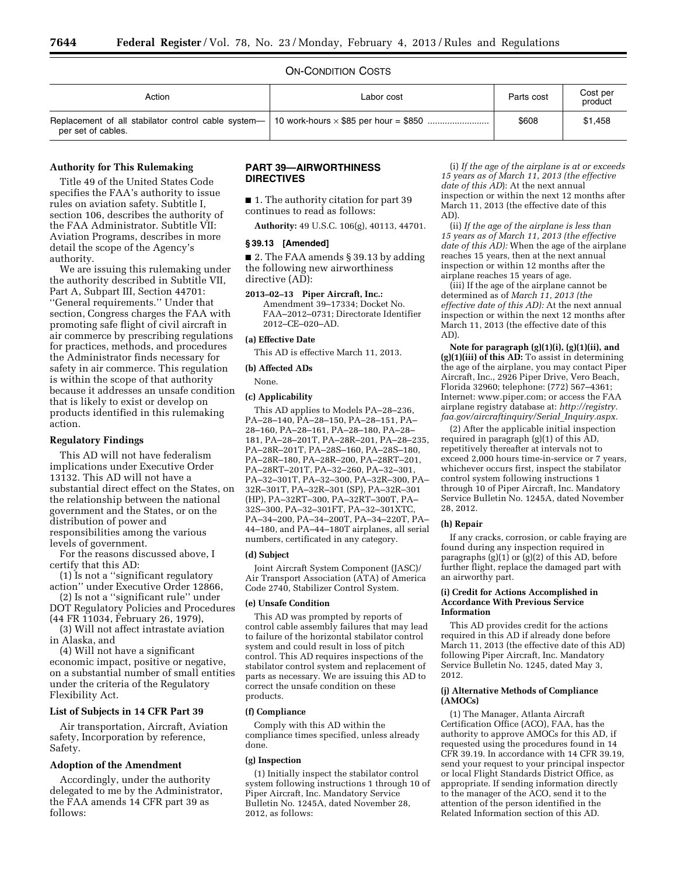### ON-CONDITION COSTS

| Action             | Labor cost | Parts cost | Cost per<br>product |
|--------------------|------------|------------|---------------------|
| per set of cables. |            | \$608      | \$1,458             |

#### **Authority for This Rulemaking**

Title 49 of the United States Code specifies the FAA's authority to issue rules on aviation safety. Subtitle I, section 106, describes the authority of the FAA Administrator. Subtitle VII: Aviation Programs, describes in more detail the scope of the Agency's authority.

We are issuing this rulemaking under the authority described in Subtitle VII, Part A, Subpart III, Section 44701: ''General requirements.'' Under that section, Congress charges the FAA with promoting safe flight of civil aircraft in air commerce by prescribing regulations for practices, methods, and procedures the Administrator finds necessary for safety in air commerce. This regulation is within the scope of that authority because it addresses an unsafe condition that is likely to exist or develop on products identified in this rulemaking action.

#### **Regulatory Findings**

This AD will not have federalism implications under Executive Order 13132. This AD will not have a substantial direct effect on the States, on the relationship between the national government and the States, or on the distribution of power and responsibilities among the various levels of government.

For the reasons discussed above, I certify that this AD:

(1) Is not a ''significant regulatory action'' under Executive Order 12866,

(2) Is not a ''significant rule'' under DOT Regulatory Policies and Procedures (44 FR 11034, February 26, 1979),

(3) Will not affect intrastate aviation in Alaska, and

(4) Will not have a significant economic impact, positive or negative, on a substantial number of small entities under the criteria of the Regulatory Flexibility Act.

### **List of Subjects in 14 CFR Part 39**

Air transportation, Aircraft, Aviation safety, Incorporation by reference, Safety.

### **Adoption of the Amendment**

Accordingly, under the authority delegated to me by the Administrator, the FAA amends 14 CFR part 39 as follows:

## **PART 39—AIRWORTHINESS DIRECTIVES**

■ 1. The authority citation for part 39 continues to read as follows:

**Authority:** 49 U.S.C. 106(g), 40113, 44701.

#### **§ 39.13 [Amended]**

■ 2. The FAA amends § 39.13 by adding the following new airworthiness directive (AD):

**2013–02–13 Piper Aircraft, Inc.:** 

Amendment 39–17334; Docket No. FAA–2012–0731; Directorate Identifier 2012–CE–020–AD.

# **(a) Effective Date**

This AD is effective March 11, 2013.

#### **(b) Affected ADs**

None.

#### **(c) Applicability**

This AD applies to Models PA–28–236, PA–28–140, PA–28–150, PA–28–151, PA– 28–160, PA–28–161, PA–28–180, PA–28– 181, PA–28–201T, PA–28R–201, PA–28–235, PA–28R–201T, PA–28S–160, PA–28S–180, PA–28R–180, PA–28R–200, PA–28RT–201, PA–28RT–201T, PA–32–260, PA–32–301, PA–32–301T, PA–32–300, PA–32R–300, PA– 32R–301T, PA–32R–301 (SP), PA–32R–301 (HP), PA–32RT–300, PA–32RT–300T, PA– 32S–300, PA–32–301FT, PA–32–301XTC, PA–34–200, PA–34–200T, PA–34–220T, PA– 44–180, and PA–44–180T airplanes, all serial numbers, certificated in any category.

#### **(d) Subject**

Joint Aircraft System Component (JASC)/ Air Transport Association (ATA) of America Code 2740, Stabilizer Control System.

#### **(e) Unsafe Condition**

This AD was prompted by reports of control cable assembly failures that may lead to failure of the horizontal stabilator control system and could result in loss of pitch control. This AD requires inspections of the stabilator control system and replacement of parts as necessary. We are issuing this AD to correct the unsafe condition on these products.

#### **(f) Compliance**

Comply with this AD within the compliance times specified, unless already done.

#### **(g) Inspection**

(1) Initially inspect the stabilator control system following instructions 1 through 10 of Piper Aircraft, Inc. Mandatory Service Bulletin No. 1245A, dated November 28, 2012, as follows:

(i) *If the age of the airplane is at or exceeds 15 years as of March 11, 2013 (the effective date of this AD*): At the next annual inspection or within the next 12 months after March 11, 2013 (the effective date of this AD).

(ii) *If the age of the airplane is less than 15 years as of March 11, 2013 (the effective date of this AD):* When the age of the airplane reaches 15 years, then at the next annual inspection or within 12 months after the airplane reaches 15 years of age.

(iii) If the age of the airplane cannot be determined as of *March 11, 2013 (the effective date of this AD):* At the next annual inspection or within the next 12 months after March 11, 2013 (the effective date of this AD).

**Note for paragraph (g)(1)(i), (g)(1)(ii), and (g)(1)(iii) of this AD:** To assist in determining the age of the airplane, you may contact Piper Aircraft, Inc., 2926 Piper Drive, Vero Beach, Florida 32960; telephone: (772) 567–4361; Internet[: www.piper.com;](http://www.piper.com) or access the FAA airplane registry database at: *[http://registry.](http://registry.faa.gov/aircraftinquiry/Serial_Inquiry.aspx) [faa.gov/aircraftinquiry/Serial](http://registry.faa.gov/aircraftinquiry/Serial_Inquiry.aspx)*\_*Inquiry.aspx.* 

(2) After the applicable initial inspection required in paragraph (g)(1) of this AD, repetitively thereafter at intervals not to exceed 2,000 hours time-in-service or 7 years, whichever occurs first, inspect the stabilator control system following instructions 1 through 10 of Piper Aircraft, Inc. Mandatory Service Bulletin No. 1245A, dated November 28, 2012.

#### **(h) Repair**

If any cracks, corrosion, or cable fraying are found during any inspection required in paragraphs  $(g)(1)$  or  $(g)(2)$  of this AD, before further flight, replace the damaged part with an airworthy part.

#### **(i) Credit for Actions Accomplished in Accordance With Previous Service Information**

This AD provides credit for the actions required in this AD if already done before March 11, 2013 (the effective date of this AD) following Piper Aircraft, Inc. Mandatory Service Bulletin No. 1245, dated May 3, 2012.

### **(j) Alternative Methods of Compliance (AMOCs)**

(1) The Manager, Atlanta Aircraft Certification Office (ACO), FAA, has the authority to approve AMOCs for this AD, if requested using the procedures found in 14 CFR 39.19. In accordance with 14 CFR 39.19, send your request to your principal inspector or local Flight Standards District Office, as appropriate. If sending information directly to the manager of the ACO, send it to the attention of the person identified in the Related Information section of this AD.